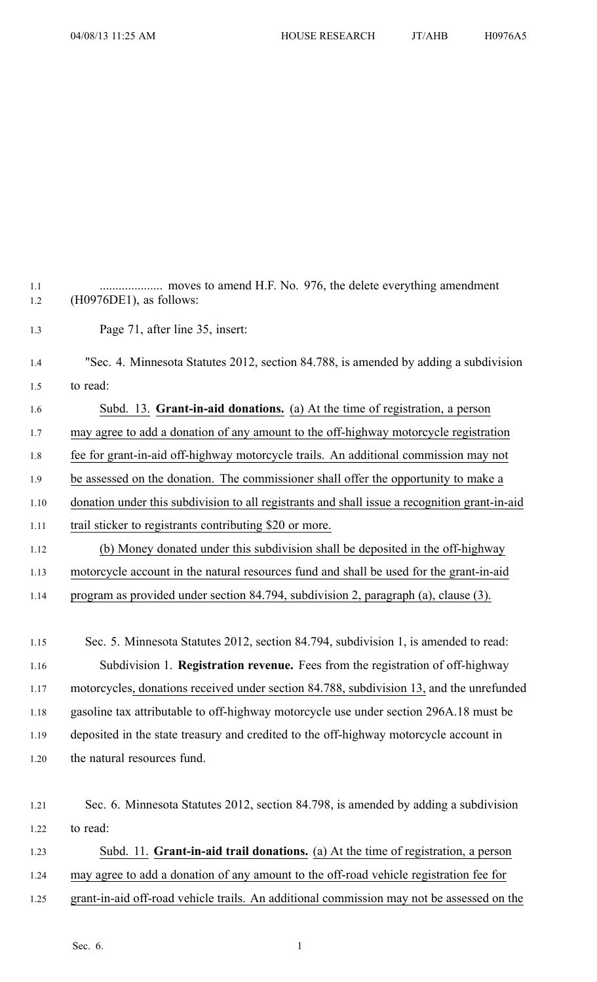1.1 .................... moves to amend H.F. No. 976, the delete everything amendment 1.2 (H0976DE1), as follows: 1.3 Page 71, after line 35, insert: 1.4 "Sec. 4. Minnesota Statutes 2012, section 84.788, is amended by adding <sup>a</sup> subdivision 1.5 to read: 1.6 Subd. 13. **Grant-in-aid donations.** (a) At the time of registration, <sup>a</sup> person 1.7 may agree to add <sup>a</sup> donation of any amount to the off-highway motorcycle registration 1.8 fee for grant-in-aid off-highway motorcycle trails. An additional commission may not 1.9 be assessed on the donation. The commissioner shall offer the opportunity to make <sup>a</sup> 1.10 donation under this subdivision to all registrants and shall issue <sup>a</sup> recognition grant-in-aid 1.11 trail sticker to registrants contributing \$20 or more. 1.12 (b) Money donated under this subdivision shall be deposited in the off-highway 1.13 motorcycle account in the natural resources fund and shall be used for the grant-in-aid 1.14 program as provided under section 84.794, subdivision 2, paragraph (a), clause (3). 1.15 Sec. 5. Minnesota Statutes 2012, section 84.794, subdivision 1, is amended to read: 1.16 Subdivision 1. **Registration revenue.** Fees from the registration of off-highway 1.17 motorcycles, donations received under section 84.788, subdivision 13, and the unrefunded 1.18 gasoline tax attributable to off-highway motorcycle use under section 296A.18 must be 1.19 deposited in the state treasury and credited to the off-highway motorcycle account in 1.20 the natural resources fund. 1.21 Sec. 6. Minnesota Statutes 2012, section 84.798, is amended by adding <sup>a</sup> subdivision 1.22 to read:

1.23 Subd. 11. **Grant-in-aid trail donations.** (a) At the time of registration, <sup>a</sup> person 1.24 may agree to add <sup>a</sup> donation of any amount to the off-road vehicle registration fee for 1.25 grant-in-aid off-road vehicle trails. An additional commission may not be assessed on the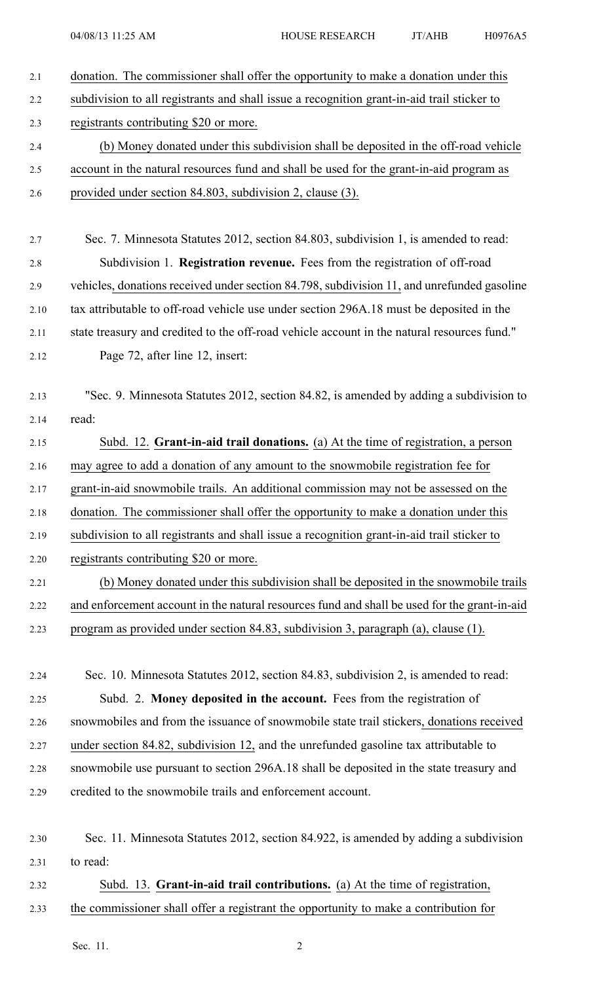| 2.1  | donation. The commissioner shall offer the opportunity to make a donation under this         |
|------|----------------------------------------------------------------------------------------------|
| 2.2  | subdivision to all registrants and shall issue a recognition grant-in-aid trail sticker to   |
| 2.3  | registrants contributing \$20 or more.                                                       |
| 2.4  | (b) Money donated under this subdivision shall be deposited in the off-road vehicle          |
| 2.5  | account in the natural resources fund and shall be used for the grant-in-aid program as      |
| 2.6  | provided under section 84.803, subdivision 2, clause (3).                                    |
|      |                                                                                              |
| 2.7  | Sec. 7. Minnesota Statutes 2012, section 84.803, subdivision 1, is amended to read:          |
| 2.8  | Subdivision 1. Registration revenue. Fees from the registration of off-road                  |
| 2.9  | vehicles, donations received under section 84.798, subdivision 11, and unrefunded gasoline   |
| 2.10 | tax attributable to off-road vehicle use under section 296A.18 must be deposited in the      |
| 2.11 | state treasury and credited to the off-road vehicle account in the natural resources fund."  |
| 2.12 | Page 72, after line 12, insert:                                                              |
|      |                                                                                              |
| 2.13 | "Sec. 9. Minnesota Statutes 2012, section 84.82, is amended by adding a subdivision to       |
| 2.14 | read:                                                                                        |
| 2.15 | Subd. 12. Grant-in-aid trail donations. (a) At the time of registration, a person            |
| 2.16 | may agree to add a donation of any amount to the snowmobile registration fee for             |
| 2.17 | grant-in-aid snowmobile trails. An additional commission may not be assessed on the          |
| 2.18 | donation. The commissioner shall offer the opportunity to make a donation under this         |
| 2.19 | subdivision to all registrants and shall issue a recognition grant-in-aid trail sticker to   |
| 2.20 | registrants contributing \$20 or more.                                                       |
| 2.21 | (b) Money donated under this subdivision shall be deposited in the snowmobile trails         |
| 2.22 | and enforcement account in the natural resources fund and shall be used for the grant-in-aid |
| 2.23 | program as provided under section 84.83, subdivision 3, paragraph (a), clause (1).           |
|      |                                                                                              |
| 2.24 | Sec. 10. Minnesota Statutes 2012, section 84.83, subdivision 2, is amended to read:          |
| 2.25 | Subd. 2. Money deposited in the account. Fees from the registration of                       |
| 2.26 | snowmobiles and from the issuance of snowmobile state trail stickers, donations received     |
| 2.27 | under section 84.82, subdivision 12, and the unrefunded gasoline tax attributable to         |
| 2.28 | snowmobile use pursuant to section 296A.18 shall be deposited in the state treasury and      |
| 2.29 | credited to the snowmobile trails and enforcement account.                                   |
|      |                                                                                              |
| 2.30 | Sec. 11. Minnesota Statutes 2012, section 84.922, is amended by adding a subdivision         |
| 2.31 | to read:                                                                                     |
| 2.32 | Subd. 13. Grant-in-aid trail contributions. (a) At the time of registration,                 |
| 2.33 | the commissioner shall offer a registrant the opportunity to make a contribution for         |

Sec. 11. 2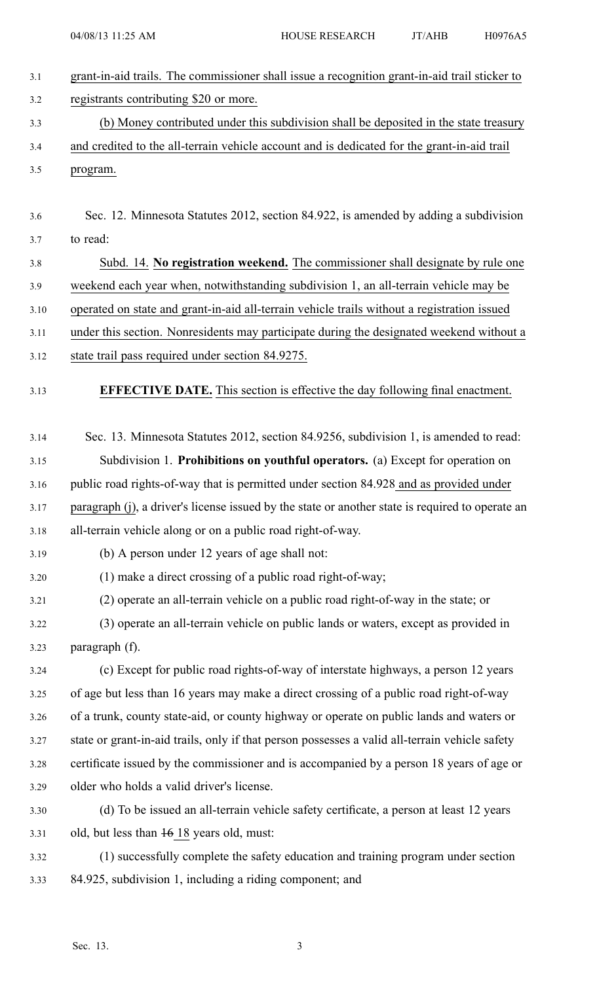| 3.1  | grant-in-aid trails. The commissioner shall issue a recognition grant-in-aid trail sticker to    |
|------|--------------------------------------------------------------------------------------------------|
| 3.2  | registrants contributing \$20 or more.                                                           |
| 3.3  | (b) Money contributed under this subdivision shall be deposited in the state treasury            |
| 3.4  | and credited to the all-terrain vehicle account and is dedicated for the grant-in-aid trail      |
| 3.5  | program.                                                                                         |
|      |                                                                                                  |
| 3.6  | Sec. 12. Minnesota Statutes 2012, section 84.922, is amended by adding a subdivision             |
| 3.7  | to read:                                                                                         |
| 3.8  | Subd. 14. No registration weekend. The commissioner shall designate by rule one                  |
| 3.9  | weekend each year when, notwithstanding subdivision 1, an all-terrain vehicle may be             |
| 3.10 | operated on state and grant-in-aid all-terrain vehicle trails without a registration issued      |
| 3.11 | under this section. Nonresidents may participate during the designated weekend without a         |
| 3.12 | state trail pass required under section 84.9275.                                                 |
| 3.13 | <b>EFFECTIVE DATE.</b> This section is effective the day following final enactment.              |
|      |                                                                                                  |
| 3.14 | Sec. 13. Minnesota Statutes 2012, section 84.9256, subdivision 1, is amended to read:            |
| 3.15 | Subdivision 1. Prohibitions on youthful operators. (a) Except for operation on                   |
| 3.16 | public road rights-of-way that is permitted under section 84.928 and as provided under           |
| 3.17 | paragraph (j), a driver's license issued by the state or another state is required to operate an |
| 3.18 | all-terrain vehicle along or on a public road right-of-way.                                      |
| 3.19 | (b) A person under 12 years of age shall not:                                                    |
| 3.20 | (1) make a direct crossing of a public road right-of-way;                                        |
| 3.21 | (2) operate an all-terrain vehicle on a public road right-of-way in the state; or                |
| 3.22 | (3) operate an all-terrain vehicle on public lands or waters, except as provided in              |
| 3.23 | paragraph (f).                                                                                   |
| 3.24 | (c) Except for public road rights-of-way of interstate highways, a person 12 years               |
| 3.25 | of age but less than 16 years may make a direct crossing of a public road right-of-way           |
| 3.26 | of a trunk, county state-aid, or county highway or operate on public lands and waters or         |
| 3.27 | state or grant-in-aid trails, only if that person possesses a valid all-terrain vehicle safety   |
| 3.28 | certificate issued by the commissioner and is accompanied by a person 18 years of age or         |
| 3.29 | older who holds a valid driver's license.                                                        |
| 3.30 | (d) To be issued an all-terrain vehicle safety certificate, a person at least 12 years           |
| 3.31 | old, but less than 16 18 years old, must:                                                        |
| 3.32 | (1) successfully complete the safety education and training program under section                |
| 3.33 | 84.925, subdivision 1, including a riding component; and                                         |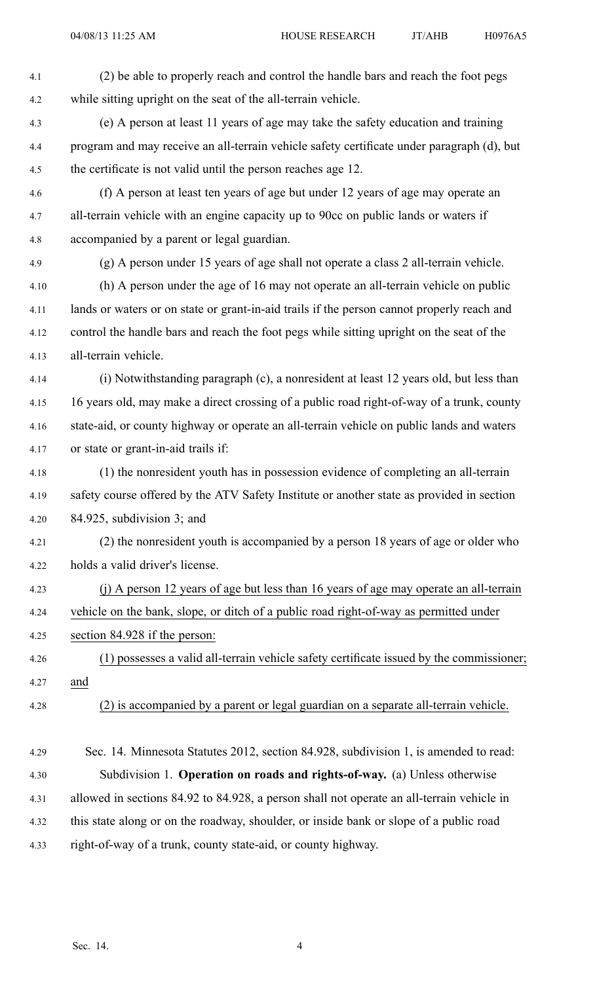| 4.1  | (2) be able to properly reach and control the handle bars and reach the foot pegs          |
|------|--------------------------------------------------------------------------------------------|
| 4.2  | while sitting upright on the seat of the all-terrain vehicle.                              |
| 4.3  | (e) A person at least 11 years of age may take the safety education and training           |
| 4.4  | program and may receive an all-terrain vehicle safety certificate under paragraph (d), but |
| 4.5  | the certificate is not valid until the person reaches age 12.                              |
| 4.6  | (f) A person at least ten years of age but under 12 years of age may operate an            |
| 4.7  | all-terrain vehicle with an engine capacity up to 90cc on public lands or waters if        |
| 4.8  | accompanied by a parent or legal guardian.                                                 |
| 4.9  | (g) A person under 15 years of age shall not operate a class 2 all-terrain vehicle.        |
| 4.10 | (h) A person under the age of 16 may not operate an all-terrain vehicle on public          |
| 4.11 | lands or waters or on state or grant-in-aid trails if the person cannot properly reach and |
| 4.12 | control the handle bars and reach the foot pegs while sitting upright on the seat of the   |
| 4.13 | all-terrain vehicle.                                                                       |
| 4.14 | (i) Notwithstanding paragraph (c), a nonresident at least 12 years old, but less than      |
| 4.15 | 16 years old, may make a direct crossing of a public road right-of-way of a trunk, county  |
| 4.16 | state-aid, or county highway or operate an all-terrain vehicle on public lands and waters  |
| 4.17 | or state or grant-in-aid trails if:                                                        |
| 4.18 | (1) the nonresident youth has in possession evidence of completing an all-terrain          |
| 4.19 | safety course offered by the ATV Safety Institute or another state as provided in section  |
| 4.20 | $84.925$ , subdivision 3; and                                                              |
| 4.21 | (2) the nonresident youth is accompanied by a person 18 years of age or older who          |
| 4.22 | holds a valid driver's license.                                                            |
| 4.23 | (j) A person 12 years of age but less than 16 years of age may operate an all-terrain      |
| 4.24 | vehicle on the bank, slope, or ditch of a public road right-of-way as permitted under      |
| 4.25 | section 84.928 if the person:                                                              |
| 4.26 | (1) possesses a valid all-terrain vehicle safety certificate issued by the commissioner;   |
| 4.27 | and                                                                                        |
| 4.28 | (2) is accompanied by a parent or legal guardian on a separate all-terrain vehicle.        |
|      |                                                                                            |
| 4.29 | Sec. 14. Minnesota Statutes 2012, section 84.928, subdivision 1, is amended to read:       |
| 4.30 | Subdivision 1. Operation on roads and rights-of-way. (a) Unless otherwise                  |
| 4.31 | allowed in sections 84.92 to 84.928, a person shall not operate an all-terrain vehicle in  |
| 4.32 | this state along or on the roadway, shoulder, or inside bank or slope of a public road     |

4.33 right-of-way of <sup>a</sup> trunk, county state-aid, or county highway.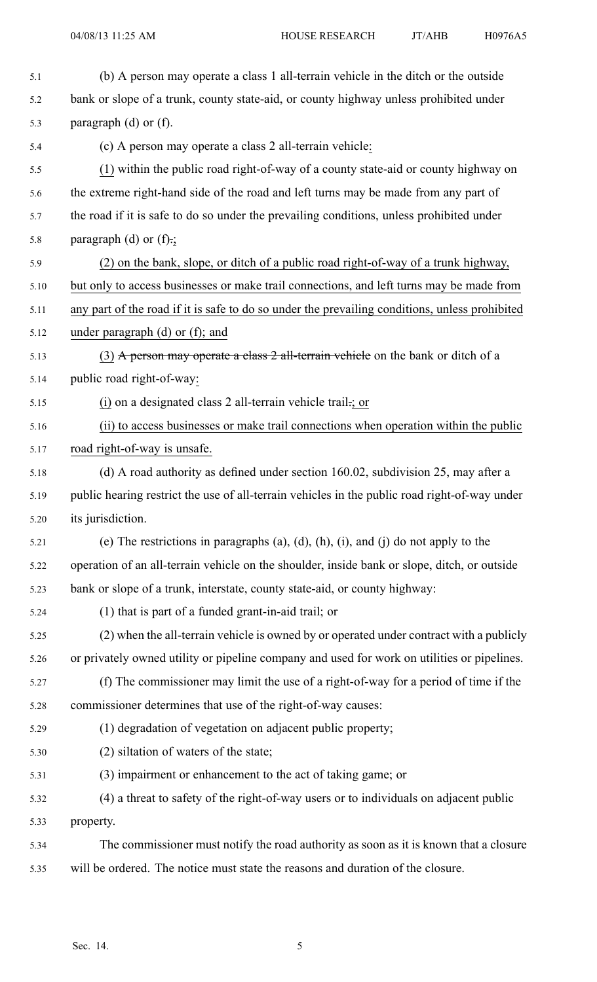| 5.1  | (b) A person may operate a class 1 all-terrain vehicle in the ditch or the outside             |
|------|------------------------------------------------------------------------------------------------|
| 5.2  | bank or slope of a trunk, county state-aid, or county highway unless prohibited under          |
| 5.3  | paragraph $(d)$ or $(f)$ .                                                                     |
| 5.4  | (c) A person may operate a class 2 all-terrain vehicle:                                        |
| 5.5  | (1) within the public road right-of-way of a county state-aid or county highway on             |
| 5.6  | the extreme right-hand side of the road and left turns may be made from any part of            |
| 5.7  | the road if it is safe to do so under the prevailing conditions, unless prohibited under       |
| 5.8  | paragraph (d) or $(f)$ .;                                                                      |
| 5.9  | (2) on the bank, slope, or ditch of a public road right-of-way of a trunk highway,             |
| 5.10 | but only to access businesses or make trail connections, and left turns may be made from       |
| 5.11 | any part of the road if it is safe to do so under the prevailing conditions, unless prohibited |
| 5.12 | under paragraph $(d)$ or $(f)$ ; and                                                           |
| 5.13 | (3) A person may operate a class 2 all-terrain vehicle on the bank or ditch of a               |
| 5.14 | public road right-of-way:                                                                      |
| 5.15 | (i) on a designated class 2 all-terrain vehicle trail -; or                                    |
| 5.16 | (ii) to access businesses or make trail connections when operation within the public           |
| 5.17 | road right-of-way is unsafe.                                                                   |
| 5.18 | (d) A road authority as defined under section 160.02, subdivision 25, may after a              |
| 5.19 | public hearing restrict the use of all-terrain vehicles in the public road right-of-way under  |
| 5.20 | its jurisdiction.                                                                              |
| 5.21 | (e) The restrictions in paragraphs (a), (d), (h), (i), and (j) do not apply to the             |
| 5.22 | operation of an all-terrain vehicle on the shoulder, inside bank or slope, ditch, or outside   |
| 5.23 | bank or slope of a trunk, interstate, county state-aid, or county highway:                     |
| 5.24 | (1) that is part of a funded grant-in-aid trail; or                                            |
| 5.25 | (2) when the all-terrain vehicle is owned by or operated under contract with a publicly        |
| 5.26 | or privately owned utility or pipeline company and used for work on utilities or pipelines.    |
| 5.27 | (f) The commissioner may limit the use of a right-of-way for a period of time if the           |
| 5.28 | commissioner determines that use of the right-of-way causes:                                   |
| 5.29 | (1) degradation of vegetation on adjacent public property;                                     |
| 5.30 | (2) siltation of waters of the state;                                                          |
| 5.31 | (3) impairment or enhancement to the act of taking game; or                                    |
| 5.32 | (4) a threat to safety of the right-of-way users or to individuals on adjacent public          |
| 5.33 | property.                                                                                      |
| 5.34 | The commissioner must notify the road authority as soon as it is known that a closure          |
| 5.35 | will be ordered. The notice must state the reasons and duration of the closure.                |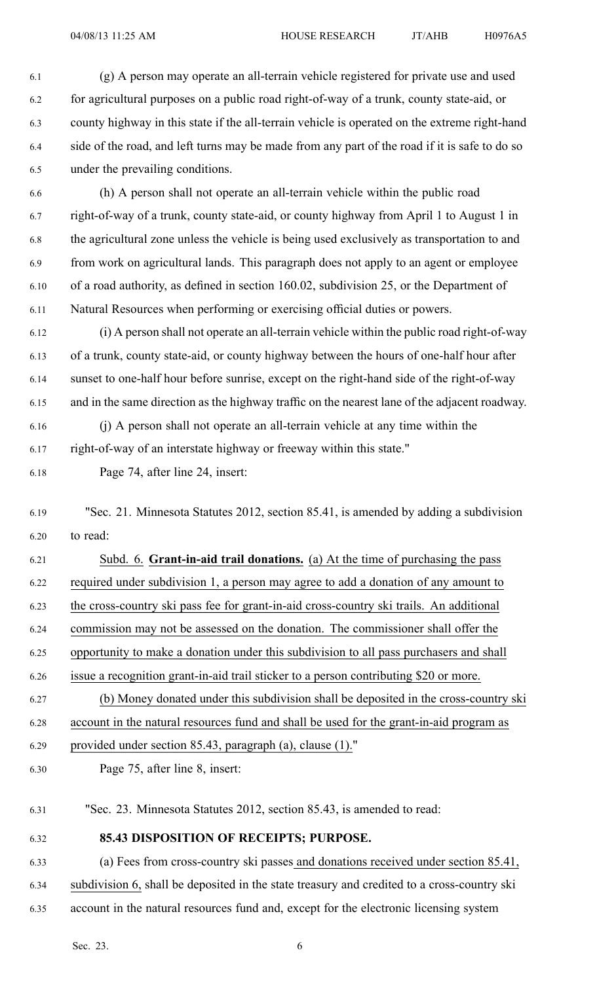6.1 (g) A person may operate an all-terrain vehicle registered for private use and used 6.2 for agricultural purposes on <sup>a</sup> public road right-of-way of <sup>a</sup> trunk, county state-aid, or 6.3 county highway in this state if the all-terrain vehicle is operated on the extreme right-hand 6.4 side of the road, and left turns may be made from any par<sup>t</sup> of the road if it is safe to do so 6.5 under the prevailing conditions.

6.6 (h) A person shall not operate an all-terrain vehicle within the public road 6.7 right-of-way of <sup>a</sup> trunk, county state-aid, or county highway from April 1 to August 1 in 6.8 the agricultural zone unless the vehicle is being used exclusively as transportation to and 6.9 from work on agricultural lands. This paragraph does not apply to an agen<sup>t</sup> or employee 6.10 of <sup>a</sup> road authority, as defined in section 160.02, subdivision 25, or the Department of 6.11 Natural Resources when performing or exercising official duties or powers.

6.12 (i) A person shall not operate an all-terrain vehicle within the public road right-of-way 6.13 of <sup>a</sup> trunk, county state-aid, or county highway between the hours of one-half hour after 6.14 sunset to one-half hour before sunrise, excep<sup>t</sup> on the right-hand side of the right-of-way 6.15 and in the same direction as the highway traffic on the nearest lane of the adjacent roadway.

6.16 (j) A person shall not operate an all-terrain vehicle at any time within the

6.17 right-of-way of an interstate highway or freeway within this state."

6.18 Page 74, after line 24, insert:

6.19 "Sec. 21. Minnesota Statutes 2012, section 85.41, is amended by adding <sup>a</sup> subdivision 6.20 to read:

6.21 Subd. 6. **Grant-in-aid trail donations.** (a) At the time of purchasing the pass 6.22 required under subdivision 1, <sup>a</sup> person may agree to add <sup>a</sup> donation of any amount to 6.23 the cross-country ski pass fee for grant-in-aid cross-country ski trails. An additional 6.24 commission may not be assessed on the donation. The commissioner shall offer the 6.25 opportunity to make <sup>a</sup> donation under this subdivision to all pass purchasers and shall 6.26 issue <sup>a</sup> recognition grant-in-aid trail sticker to <sup>a</sup> person contributing \$20 or more. 6.27 (b) Money donated under this subdivision shall be deposited in the cross-country ski 6.28 account in the natural resources fund and shall be used for the grant-in-aid program as 6.29 provided under section 85.43, paragraph (a), clause (1)."

6.30 Page 75, after line 8, insert:

6.31 "Sec. 23. Minnesota Statutes 2012, section 85.43, is amended to read:

6.32 **85.43 DISPOSITION OF RECEIPTS; PURPOSE.**

6.33 (a) Fees from cross-country ski passes and donations received under section 85.41, 6.34 subdivision 6, shall be deposited in the state treasury and credited to <sup>a</sup> cross-country ski 6.35 account in the natural resources fund and, excep<sup>t</sup> for the electronic licensing system